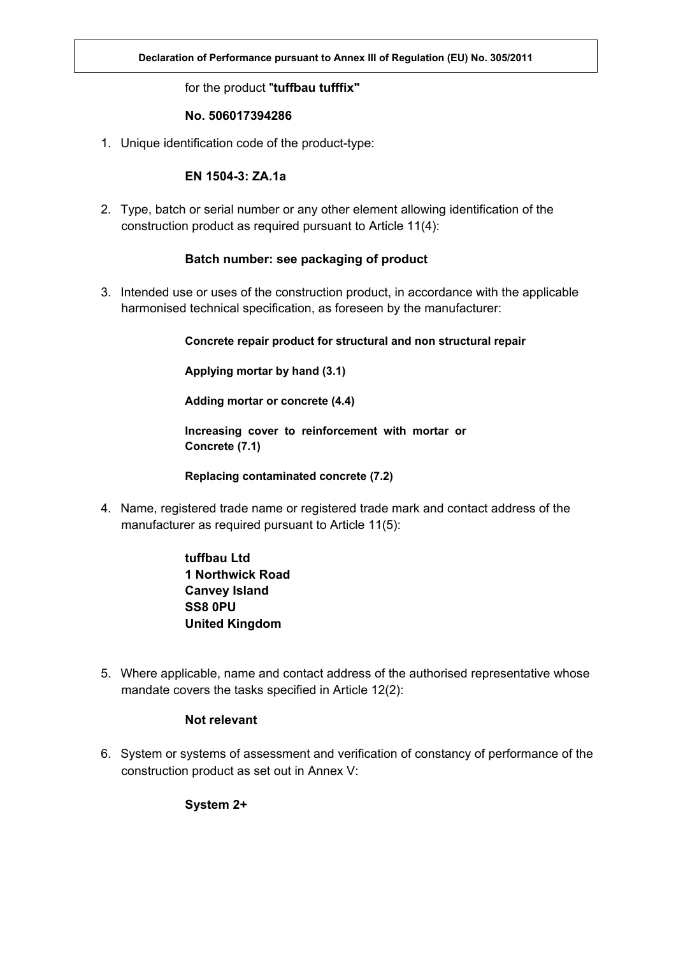## for the product "**tuffbau tufffix"**

## **No. 506017394286**

1. Unique identification code of the product-type:

# **EN 1504-3: ZA.1a**

2. Type, batch or serial number or any other element allowing identification of the construction product as required pursuant to Article 11(4):

# **Batch number: see packaging of product**

3. Intended use or uses of the construction product, in accordance with the applicable harmonised technical specification, as foreseen by the manufacturer:

**Concrete repair product for structural and non structural repair** 

**Applying mortar by hand (3.1)** 

**Adding mortar or concrete (4.4)** 

**Increasing cover to reinforcement with mortar or Concrete (7.1)** 

**Replacing contaminated concrete (7.2)** 

4. Name, registered trade name or registered trade mark and contact address of the manufacturer as required pursuant to Article 11(5):

> **tuffbau Ltd 1 Northwick Road Canvey Island SS8 0PU United Kingdom**

5. Where applicable, name and contact address of the authorised representative whose mandate covers the tasks specified in Article 12(2):

## **Not relevant**

6. System or systems of assessment and verification of constancy of performance of the construction product as set out in Annex V:

**System 2+**